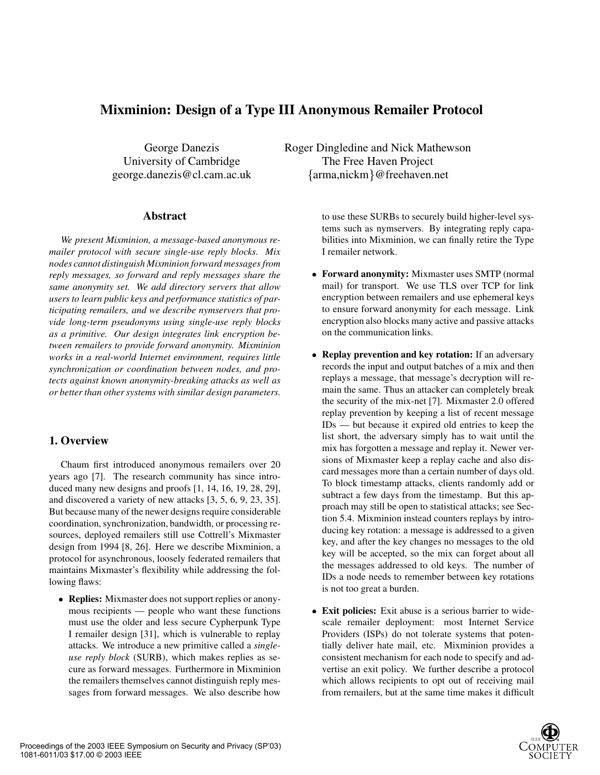# **Mixminion: Design of a Type III Anonymous Remailer Protocol**

George Danezis University of Cambridge george.danezis@cl.cam.ac.uk

### **Abstract**

*We present Mixminion, a message-based anonymous remailer protocol with secure single-use reply blocks. Mix nodes cannot distinguish Mixminion forward messages from reply messages, so forward and reply messages share the same anonymity set. We add directory servers that allow users to learn public keys and performance statistics of participating remailers, and we describe nymservers that provide long-term pseudonyms using single-use reply blocks as a primitive. Our design integrates link encryption between remailers to provide forward anonymity. Mixminion works in a real-world Internet environment, requires little synchronization or coordination between nodes, and protects against known anonymity-breaking attacks as well as or better than other systems with similar design parameters.*

## **1. Overview**

Chaum first introduced anonymous remailers over 20 years ago [7]. The research community has since introduced many new designs and proofs [1, 14, 16, 19, 28, 29], and discovered a variety of new attacks [3, 5, 6, 9, 23, 35]. But because many of the newer designs require considerable coordination, synchronization, bandwidth, or processing resources, deployed remailers still use Cottrell's Mixmaster design from 1994 [8, 26]. Here we describe Mixminion, a protocol for asynchronous, loosely federated remailers that maintains Mixmaster's flexibility while addressing the following flaws:

 **Replies:** Mixmaster does not support replies or anonymous recipients — people who want these functions must use the older and less secure Cypherpunk Type I remailer design [31], which is vulnerable to replay attacks. We introduce a new primitive called a *singleuse reply block* (SURB), which makes replies as secure as forward messages. Furthermore in Mixminion the remailers themselves cannot distinguish reply messages from forward messages. We also describe how

Roger Dingledine and Nick Mathewson The Free Haven Project  $\{arma,nickm\}$  @ freehaven.net

> to use these SURBs to securely build higher-level systems such as nymservers. By integrating reply capabilities into Mixminion, we can finally retire the Type I remailer network.

- **Forward anonymity:** Mixmaster uses SMTP (normal mail) for transport. We use TLS over TCP for link encryption between remailers and use ephemeral keys to ensure forward anonymity for each message. Link encryption also blocks many active and passive attacks on the communication links.
- **Replay prevention and key rotation:** If an adversary records the input and output batches of a mix and then replays a message, that message's decryption will remain the same. Thus an attacker can completely break the security of the mix-net [7]. Mixmaster 2.0 offered replay prevention by keeping a list of recent message IDs — but because it expired old entries to keep the list short, the adversary simply has to wait until the mix has forgotten a message and replay it. Newer versions of Mixmaster keep a replay cache and also discard messages more than a certain number of days old. To block timestamp attacks, clients randomly add or subtract a few days from the timestamp. But this approach may still be open to statistical attacks; see Section 5.4. Mixminion instead counters replays by introducing key rotation: a message is addressed to a given key, and after the key changes no messages to the old key will be accepted, so the mix can forget about all the messages addressed to old keys. The number of IDs a node needs to remember between key rotations is not too great a burden.
- **Exit policies:** Exit abuse is a serious barrier to widescale remailer deployment: most Internet Service Providers (ISPs) do not tolerate systems that potentially deliver hate mail, etc. Mixminion provides a consistent mechanism for each node to specify and advertise an exit policy. We further describe a protocol which allows recipients to opt out of receiving mail from remailers, but at the same time makes it difficult

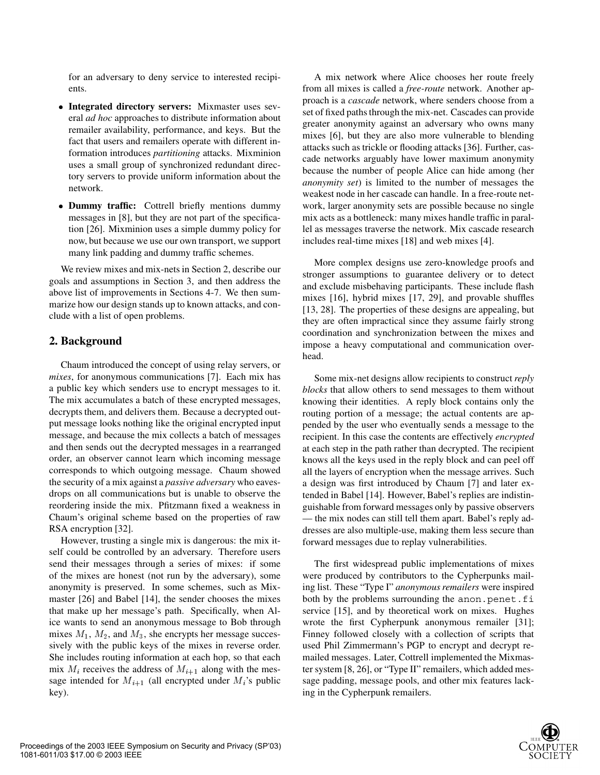for an adversary to deny service to interested recipients.

- **Integrated directory servers:** Mixmaster uses several *ad hoc* approaches to distribute information about remailer availability, performance, and keys. But the fact that users and remailers operate with different information introduces *partitioning* attacks. Mixminion uses a small group of synchronized redundant directory servers to provide uniform information about the network.
- **Dummy traffic:** Cottrell briefly mentions dummy messages in [8], but they are not part of the specification [26]. Mixminion uses a simple dummy policy for now, but because we use our own transport, we support many link padding and dummy traffic schemes.

We review mixes and mix-nets in Section 2, describe our goals and assumptions in Section 3, and then address the above list of improvements in Sections 4-7. We then summarize how our design stands up to known attacks, and conclude with a list of open problems.

#### **2. Background**

Chaum introduced the concept of using relay servers, or *mixes*, for anonymous communications [7]. Each mix has a public key which senders use to encrypt messages to it. The mix accumulates a batch of these encrypted messages, decrypts them, and delivers them. Because a decrypted output message looks nothing like the original encrypted input message, and because the mix collects a batch of messages and then sends out the decrypted messages in a rearranged order, an observer cannot learn which incoming message corresponds to which outgoing message. Chaum showed the security of a mix against a *passive adversary* who eavesdrops on all communications but is unable to observe the reordering inside the mix. Pfitzmann fixed a weakness in Chaum's original scheme based on the properties of raw RSA encryption [32].

However, trusting a single mix is dangerous: the mix itself could be controlled by an adversary. Therefore users send their messages through a series of mixes: if some of the mixes are honest (not run by the adversary), some anonymity is preserved. In some schemes, such as Mixmaster [26] and Babel [14], the sender chooses the mixes that make up her message's path. Specifically, when Alice wants to send an anonymous message to Bob through mixes  $M_1$ ,  $M_2$ , and  $M_3$ , she encrypts her message successively with the public keys of the mixes in reverse order. She includes routing information at each hop, so that each mix  $M_i$  receives the address of  $M_{i+1}$  along with the message intended for  $M_{i+1}$  (all encrypted under  $M_i$ 's public key).

A mix network where Alice chooses her route freely from all mixes is called a *free-route* network. Another approach is a *cascade* network, where senders choose from a set of fixed paths through the mix-net. Cascades can provide greater anonymity against an adversary who owns many mixes [6], but they are also more vulnerable to blending attacks such as trickle or flooding attacks [36]. Further, cascade networks arguably have lower maximum anonymity because the number of people Alice can hide among (her *anonymity set*) is limited to the number of messages the weakest node in her cascade can handle. In a free-route network, larger anonymity sets are possible because no single mix acts as a bottleneck: many mixes handle traffic in parallel as messages traverse the network. Mix cascade research includes real-time mixes [18] and web mixes [4].

More complex designs use zero-knowledge proofs and stronger assumptions to guarantee delivery or to detect and exclude misbehaving participants. These include flash mixes [16], hybrid mixes [17, 29], and provable shuffles [13, 28]. The properties of these designs are appealing, but they are often impractical since they assume fairly strong coordination and synchronization between the mixes and impose a heavy computational and communication overhead.

Some mix-net designs allow recipients to construct *reply blocks* that allow others to send messages to them without knowing their identities. A reply block contains only the routing portion of a message; the actual contents are appended by the user who eventually sends a message to the recipient. In this case the contents are effectively *encrypted* at each step in the path rather than decrypted. The recipient knows all the keys used in the reply block and can peel off all the layers of encryption when the message arrives. Such a design was first introduced by Chaum [7] and later extended in Babel [14]. However, Babel's replies are indistinguishable from forward messages only by passive observers — the mix nodes can still tell them apart. Babel's reply addresses are also multiple-use, making them less secure than forward messages due to replay vulnerabilities.

The first widespread public implementations of mixes were produced by contributors to the Cypherpunks mailing list. These "Type I" *anonymous remailers* were inspired both by the problems surrounding the anon.penet.fi service [15], and by theoretical work on mixes. Hughes wrote the first Cypherpunk anonymous remailer [31]; Finney followed closely with a collection of scripts that used Phil Zimmermann's PGP to encrypt and decrypt remailed messages. Later, Cottrell implemented the Mixmaster system [8, 26], or "Type II" remailers, which added message padding, message pools, and other mix features lacking in the Cypherpunk remailers.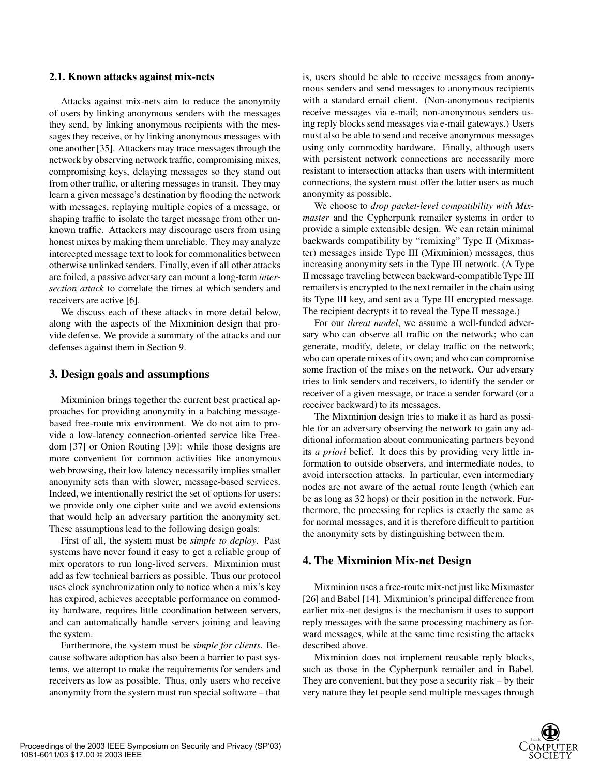#### **2.1. Known attacks against mix-nets**

Attacks against mix-nets aim to reduce the anonymity of users by linking anonymous senders with the messages they send, by linking anonymous recipients with the messages they receive, or by linking anonymous messages with one another [35]. Attackers may trace messages through the network by observing network traffic, compromising mixes, compromising keys, delaying messages so they stand out from other traffic, or altering messages in transit. They may learn a given message's destination by flooding the network with messages, replaying multiple copies of a message, or shaping traffic to isolate the target message from other unknown traffic. Attackers may discourage users from using honest mixes by making them unreliable. They may analyze intercepted message text to look for commonalities between otherwise unlinked senders. Finally, even if all other attacks are foiled, a passive adversary can mount a long-term *intersection attack* to correlate the times at which senders and receivers are active [6].

We discuss each of these attacks in more detail below, along with the aspects of the Mixminion design that provide defense. We provide a summary of the attacks and our defenses against them in Section 9.

## **3. Design goals and assumptions**

Mixminion brings together the current best practical approaches for providing anonymity in a batching messagebased free-route mix environment. We do not aim to provide a low-latency connection-oriented service like Freedom [37] or Onion Routing [39]: while those designs are more convenient for common activities like anonymous web browsing, their low latency necessarily implies smaller anonymity sets than with slower, message-based services. Indeed, we intentionally restrict the set of options for users: we provide only one cipher suite and we avoid extensions that would help an adversary partition the anonymity set. These assumptions lead to the following design goals:

First of all, the system must be *simple to deploy*. Past systems have never found it easy to get a reliable group of mix operators to run long-lived servers. Mixminion must add as few technical barriers as possible. Thus our protocol uses clock synchronization only to notice when a mix's key has expired, achieves acceptable performance on commodity hardware, requires little coordination between servers, and can automatically handle servers joining and leaving the system.

Furthermore, the system must be *simple for clients*. Because software adoption has also been a barrier to past systems, we attempt to make the requirements for senders and receivers as low as possible. Thus, only users who receive anonymity from the system must run special software – that

is, users should be able to receive messages from anonymous senders and send messages to anonymous recipients with a standard email client. (Non-anonymous recipients receive messages via e-mail; non-anonymous senders using reply blocks send messages via e-mail gateways.) Users must also be able to send and receive anonymous messages using only commodity hardware. Finally, although users with persistent network connections are necessarily more resistant to intersection attacks than users with intermittent connections, the system must offer the latter users as much anonymity as possible.

We choose to *drop packet-level compatibility with Mixmaster* and the Cypherpunk remailer systems in order to provide a simple extensible design. We can retain minimal backwards compatibility by "remixing" Type II (Mixmaster) messages inside Type III (Mixminion) messages, thus increasing anonymity sets in the Type III network. (A Type II message traveling between backward-compatible Type III remailers is encrypted to the next remailer in the chain using its Type III key, and sent as a Type III encrypted message. The recipient decrypts it to reveal the Type II message.)

For our *threat model*, we assume a well-funded adversary who can observe all traffic on the network; who can generate, modify, delete, or delay traffic on the network; who can operate mixes of its own; and who can compromise some fraction of the mixes on the network. Our adversary tries to link senders and receivers, to identify the sender or receiver of a given message, or trace a sender forward (or a receiver backward) to its messages.

The Mixminion design tries to make it as hard as possible for an adversary observing the network to gain any additional information about communicating partners beyond its *a priori* belief. It does this by providing very little information to outside observers, and intermediate nodes, to avoid intersection attacks. In particular, even intermediary nodes are not aware of the actual route length (which can be as long as 32 hops) or their position in the network. Furthermore, the processing for replies is exactly the same as for normal messages, and it is therefore difficult to partition the anonymity sets by distinguishing between them.

#### **4. The Mixminion Mix-net Design**

Mixminion uses a free-route mix-net just like Mixmaster [26] and Babel [14]. Mixminion's principal difference from earlier mix-net designs is the mechanism it uses to support reply messages with the same processing machinery as forward messages, while at the same time resisting the attacks described above.

Mixminion does not implement reusable reply blocks, such as those in the Cypherpunk remailer and in Babel. They are convenient, but they pose a security risk – by their very nature they let people send multiple messages through

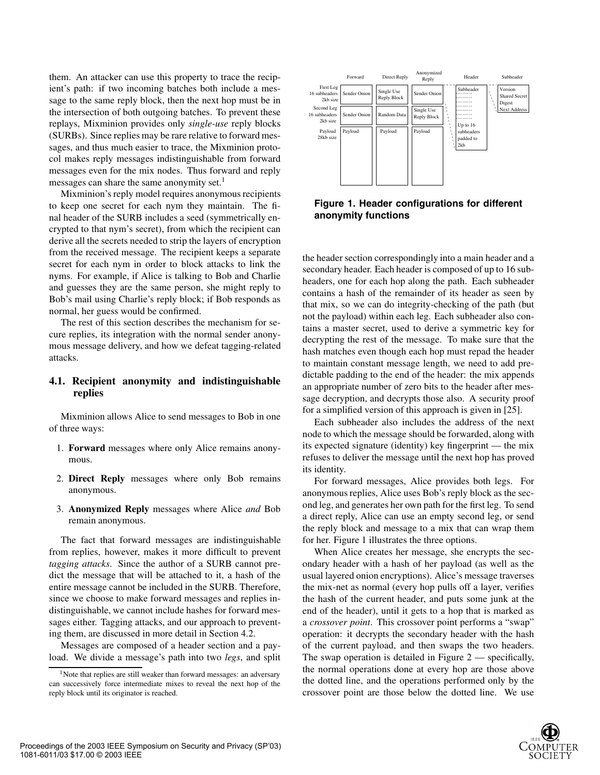them. An attacker can use this property to trace the recipient's path: if two incoming batches both include a message to the same reply block, then the next hop must be in the intersection of both outgoing batches. To prevent these replays, Mixminion provides only *single-use* reply blocks (SURBs). Since replies may be rare relative to forward messages, and thus much easier to trace, the Mixminion protocol makes reply messages indistinguishable from forward messages even for the mix nodes. Thus forward and reply messages can share the same anonymity set.<sup>1</sup>

Mixminion's reply model requires anonymous recipients to keep one secret for each nym they maintain. The final header of the SURB includes a seed (symmetrically encrypted to that nym's secret), from which the recipient can derive all the secrets needed to strip the layers of encryption from the received message. The recipient keeps a separate secret for each nym in order to block attacks to link the nyms. For example, if Alice is talking to Bob and Charlie and guesses they are the same person, she might reply to Bob's mail using Charlie's reply block; if Bob responds as normal, her guess would be confirmed.

The rest of this section describes the mechanism for secure replies, its integration with the normal sender anonymous message delivery, and how we defeat tagging-related attacks.

#### **4.1. Recipient anonymity and indistinguishable replies**

Mixminion allows Alice to send messages to Bob in one of three ways:

- 1. **Forward** messages where only Alice remains anonymous.
- 2. **Direct Reply** messages where only Bob remains anonymous.
- 3. **Anonymized Reply** messages where Alice *and* Bob remain anonymous.

The fact that forward messages are indistinguishable from replies, however, makes it more difficult to prevent *tagging attacks*. Since the author of a SURB cannot predict the message that will be attached to it, a hash of the entire message cannot be included in the SURB. Therefore, since we choose to make forward messages and replies indistinguishable, we cannot include hashes for forward messages either. Tagging attacks, and our approach to preventing them, are discussed in more detail in Section 4.2.

Messages are composed of a header section and a payload. We divide a message's path into two *legs*, and split



**Figure 1. Header configurations for different anonymity functions**

the header section correspondingly into a main header and a secondary header. Each header is composed of up to 16 subheaders, one for each hop along the path. Each subheader contains a hash of the remainder of its header as seen by that mix, so we can do integrity-checking of the path (but not the payload) within each leg. Each subheader also contains a master secret, used to derive a symmetric key for decrypting the rest of the message. To make sure that the hash matches even though each hop must repad the header to maintain constant message length, we need to add predictable padding to the end of the header: the mix appends an appropriate number of zero bits to the header after message decryption, and decrypts those also. A security proof for a simplified version of this approach is given in [25].

Each subheader also includes the address of the next node to which the message should be forwarded, along with its expected signature (identity) key fingerprint — the mix refuses to deliver the message until the next hop has proved its identity.

For forward messages, Alice provides both legs. For anonymous replies, Alice uses Bob's reply block as the second leg, and generates her own path for the first leg. To send a direct reply, Alice can use an empty second leg, or send the reply block and message to a mix that can wrap them for her. Figure 1 illustrates the three options.

When Alice creates her message, she encrypts the secondary header with a hash of her payload (as well as the usual layered onion encryptions). Alice's message traverses the mix-net as normal (every hop pulls off a layer, verifies the hash of the current header, and puts some junk at the end of the header), until it gets to a hop that is marked as a *crossover point*. This crossover point performs a "swap" operation: it decrypts the secondary header with the hash of the current payload, and then swaps the two headers. The swap operation is detailed in Figure 2 — specifically, the normal operations done at every hop are those above the dotted line, and the operations performed only by the crossover point are those below the dotted line. We use



<sup>&</sup>lt;sup>1</sup>Note that replies are still weaker than forward messages: an adversary can successively force intermediate mixes to reveal the next hop of the reply block until its originator is reached.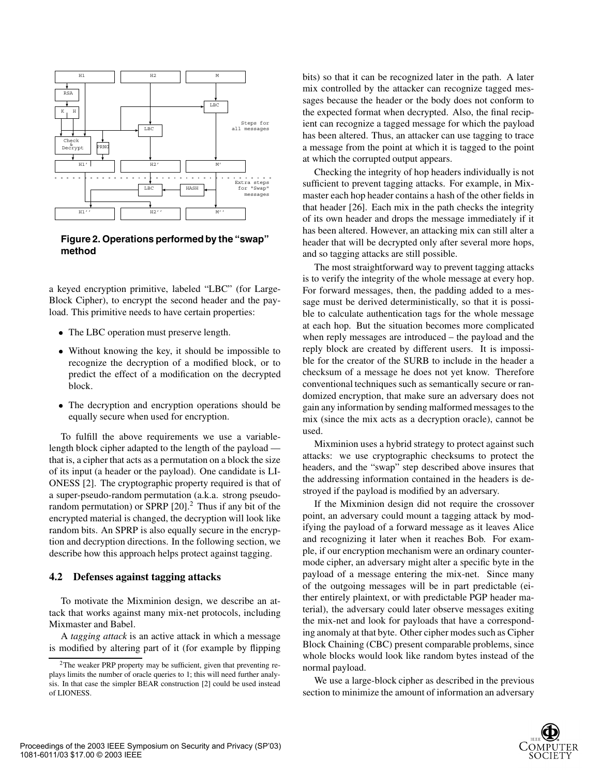

**Figure 2. Operations performed by the "swap" method**

a keyed encryption primitive, labeled "LBC" (for Large-Block Cipher), to encrypt the second header and the payload. This primitive needs to have certain properties:

- The LBC operation must preserve length.
- Without knowing the key, it should be impossible to recognize the decryption of a modified block, or to predict the effect of a modification on the decrypted block.
- The decryption and encryption operations should be equally secure when used for encryption.

To fulfill the above requirements we use a variablelength block cipher adapted to the length of the payload that is, a cipher that acts as a permutation on a block the size of its input (a header or the payload). One candidate is LI-ONESS [2]. The cryptographic property required is that of a super-pseudo-random permutation (a.k.a. strong pseudorandom permutation) or SPRP [20].<sup>2</sup> Thus if any bit of the encrypted material is changed, the decryption will look like random bits. An SPRP is also equally secure in the encryption and decryption directions. In the following section, we describe how this approach helps protect against tagging.

#### **4.2 Defenses against tagging attacks**

To motivate the Mixminion design, we describe an attack that works against many mix-net protocols, including Mixmaster and Babel.

A *tagging attack* is an active attack in which a message is modified by altering part of it (for example by flipping

bits) so that it can be recognized later in the path. A later mix controlled by the attacker can recognize tagged messages because the header or the body does not conform to the expected format when decrypted. Also, the final recipient can recognize a tagged message for which the payload has been altered. Thus, an attacker can use tagging to trace a message from the point at which it is tagged to the point at which the corrupted output appears.

Checking the integrity of hop headers individually is not sufficient to prevent tagging attacks. For example, in Mixmaster each hop header contains a hash of the other fields in that header [26]. Each mix in the path checks the integrity of its own header and drops the message immediately if it has been altered. However, an attacking mix can still alter a header that will be decrypted only after several more hops, and so tagging attacks are still possible.

The most straightforward way to prevent tagging attacks is to verify the integrity of the whole message at every hop. For forward messages, then, the padding added to a message must be derived deterministically, so that it is possible to calculate authentication tags for the whole message at each hop. But the situation becomes more complicated when reply messages are introduced – the payload and the reply block are created by different users. It is impossible for the creator of the SURB to include in the header a checksum of a message he does not yet know. Therefore conventional techniques such as semantically secure or randomized encryption, that make sure an adversary does not gain any information by sending malformed messages to the mix (since the mix acts as a decryption oracle), cannot be used.

Mixminion uses a hybrid strategy to protect against such attacks: we use cryptographic checksums to protect the headers, and the "swap" step described above insures that the addressing information contained in the headers is destroyed if the payload is modified by an adversary.

If the Mixminion design did not require the crossover point, an adversary could mount a tagging attack by modifying the payload of a forward message as it leaves Alice and recognizing it later when it reaches Bob. For example, if our encryption mechanism were an ordinary countermode cipher, an adversary might alter a specific byte in the payload of a message entering the mix-net. Since many of the outgoing messages will be in part predictable (either entirely plaintext, or with predictable PGP header material), the adversary could later observe messages exiting the mix-net and look for payloads that have a corresponding anomaly at that byte. Other cipher modes such as Cipher Block Chaining (CBC) present comparable problems, since whole blocks would look like random bytes instead of the normal payload.

We use a large-block cipher as described in the previous section to minimize the amount of information an adversary



<sup>2</sup>The weaker PRP property may be sufficient, given that preventing replays limits the number of oracle queries to 1; this will need further analysis. In that case the simpler BEAR construction [2] could be used instead of LIONESS.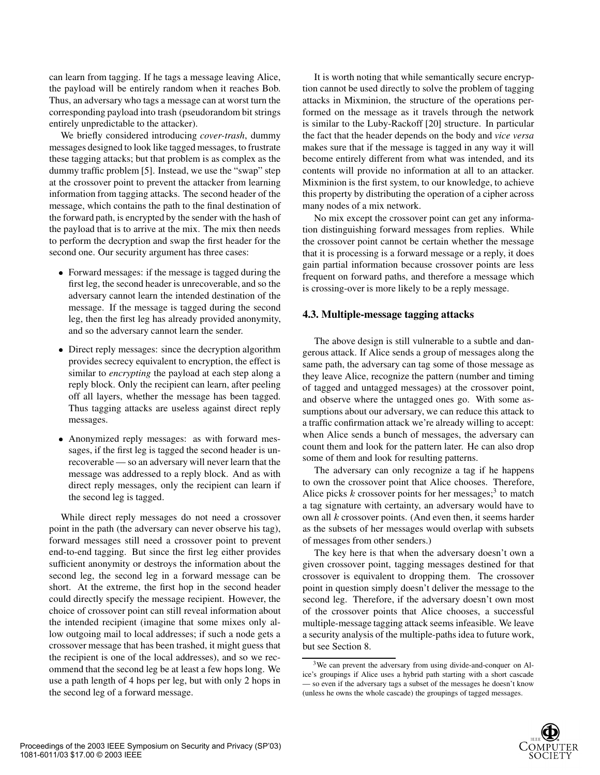can learn from tagging. If he tags a message leaving Alice, the payload will be entirely random when it reaches Bob. Thus, an adversary who tags a message can at worst turn the corresponding payload into trash (pseudorandom bit strings entirely unpredictable to the attacker).

We briefly considered introducing *cover-trash*, dummy messages designed to look like tagged messages, to frustrate these tagging attacks; but that problem is as complex as the dummy traffic problem [5]. Instead, we use the "swap" step at the crossover point to prevent the attacker from learning information from tagging attacks. The second header of the message, which contains the path to the final destination of the forward path, is encrypted by the sender with the hash of the payload that is to arrive at the mix. The mix then needs to perform the decryption and swap the first header for the second one. Our security argument has three cases:

- Forward messages: if the message is tagged during the first leg, the second header is unrecoverable, and so the adversary cannot learn the intended destination of the message. If the message is tagged during the second leg, then the first leg has already provided anonymity, and so the adversary cannot learn the sender.
- Direct reply messages: since the decryption algorithm provides secrecy equivalent to encryption, the effect is similar to *encrypting* the payload at each step along a reply block. Only the recipient can learn, after peeling off all layers, whether the message has been tagged. Thus tagging attacks are useless against direct reply messages.
- Anonymized reply messages: as with forward messages, if the first leg is tagged the second header is unrecoverable — so an adversary will never learn that the message was addressed to a reply block. And as with direct reply messages, only the recipient can learn if the second leg is tagged.

While direct reply messages do not need a crossover point in the path (the adversary can never observe his tag), forward messages still need a crossover point to prevent end-to-end tagging. But since the first leg either provides sufficient anonymity or destroys the information about the second leg, the second leg in a forward message can be short. At the extreme, the first hop in the second header could directly specify the message recipient. However, the choice of crossover point can still reveal information about the intended recipient (imagine that some mixes only allow outgoing mail to local addresses; if such a node gets a crossover message that has been trashed, it might guess that the recipient is one of the local addresses), and so we recommend that the second leg be at least a few hops long. We use a path length of 4 hops per leg, but with only 2 hops in the second leg of a forward message.

It is worth noting that while semantically secure encryption cannot be used directly to solve the problem of tagging attacks in Mixminion, the structure of the operations performed on the message as it travels through the network is similar to the Luby-Rackoff [20] structure. In particular the fact that the header depends on the body and *vice versa* makes sure that if the message is tagged in any way it will become entirely different from what was intended, and its contents will provide no information at all to an attacker. Mixminion is the first system, to our knowledge, to achieve this property by distributing the operation of a cipher across many nodes of a mix network.

No mix except the crossover point can get any information distinguishing forward messages from replies. While the crossover point cannot be certain whether the message that it is processing is a forward message or a reply, it does gain partial information because crossover points are less frequent on forward paths, and therefore a message which is crossing-over is more likely to be a reply message.

#### **4.3. Multiple-message tagging attacks**

The above design is still vulnerable to a subtle and dangerous attack. If Alice sends a group of messages along the same path, the adversary can tag some of those message as they leave Alice, recognize the pattern (number and timing of tagged and untagged messages) at the crossover point, and observe where the untagged ones go. With some assumptions about our adversary, we can reduce this attack to a traffic confirmation attack we're already willing to accept: when Alice sends a bunch of messages, the adversary can count them and look for the pattern later. He can also drop some of them and look for resulting patterns.

The adversary can only recognize a tag if he happens to own the crossover point that Alice chooses. Therefore, Alice picks  $k$  crossover points for her messages;<sup>3</sup> to match a tag signature with certainty, an adversary would have to own all  $k$  crossover points. (And even then, it seems harder as the subsets of her messages would overlap with subsets of messages from other senders.)

The key here is that when the adversary doesn't own a given crossover point, tagging messages destined for that crossover is equivalent to dropping them. The crossover point in question simply doesn't deliver the message to the second leg. Therefore, if the adversary doesn't own most of the crossover points that Alice chooses, a successful multiple-message tagging attack seems infeasible. We leave a security analysis of the multiple-paths idea to future work, but see Section 8.

<sup>3</sup>We can prevent the adversary from using divide-and-conquer on Alice's groupings if Alice uses a hybrid path starting with a short cascade — so even if the adversary tags a subset of the messages he doesn't know (unless he owns the whole cascade) the groupings of tagged messages.

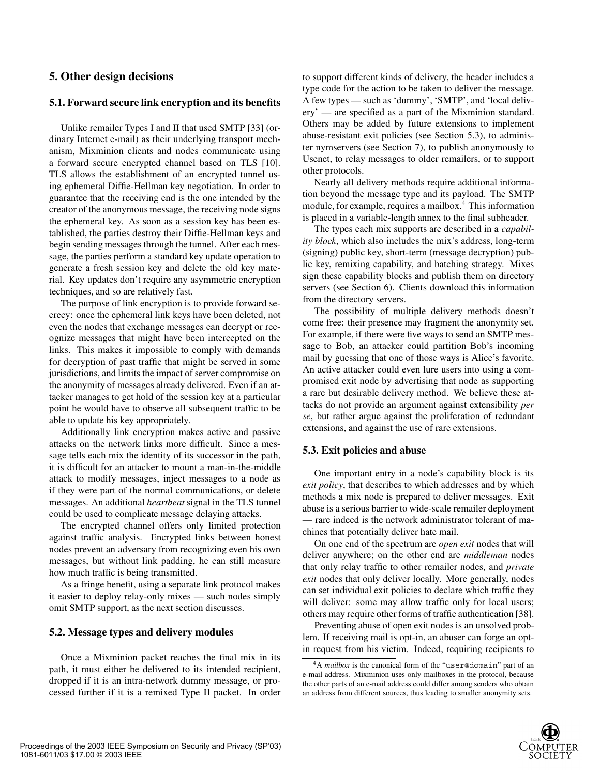## **5. Other design decisions**

### **5.1. Forward secure link encryption and its benefits**

Unlike remailer Types I and II that used SMTP [33] (ordinary Internet e-mail) as their underlying transport mechanism, Mixminion clients and nodes communicate using a forward secure encrypted channel based on TLS [10]. TLS allows the establishment of an encrypted tunnel using ephemeral Diffie-Hellman key negotiation. In order to guarantee that the receiving end is the one intended by the creator of the anonymous message, the receiving node signs the ephemeral key. As soon as a session key has been established, the parties destroy their Diffie-Hellman keys and begin sending messages through the tunnel. After each message, the parties perform a standard key update operation to generate a fresh session key and delete the old key material. Key updates don't require any asymmetric encryption techniques, and so are relatively fast.

The purpose of link encryption is to provide forward secrecy: once the ephemeral link keys have been deleted, not even the nodes that exchange messages can decrypt or recognize messages that might have been intercepted on the links. This makes it impossible to comply with demands for decryption of past traffic that might be served in some jurisdictions, and limits the impact of server compromise on the anonymity of messages already delivered. Even if an attacker manages to get hold of the session key at a particular point he would have to observe all subsequent traffic to be able to update his key appropriately.

Additionally link encryption makes active and passive attacks on the network links more difficult. Since a message tells each mix the identity of its successor in the path, it is difficult for an attacker to mount a man-in-the-middle attack to modify messages, inject messages to a node as if they were part of the normal communications, or delete messages. An additional *heartbeat* signal in the TLS tunnel could be used to complicate message delaying attacks.

The encrypted channel offers only limited protection against traffic analysis. Encrypted links between honest nodes prevent an adversary from recognizing even his own messages, but without link padding, he can still measure how much traffic is being transmitted.

As a fringe benefit, using a separate link protocol makes it easier to deploy relay-only mixes — such nodes simply omit SMTP support, as the next section discusses.

#### **5.2. Message types and delivery modules**

Once a Mixminion packet reaches the final mix in its path, it must either be delivered to its intended recipient, dropped if it is an intra-network dummy message, or processed further if it is a remixed Type II packet. In order to support different kinds of delivery, the header includes a type code for the action to be taken to deliver the message. A few types — such as 'dummy', 'SMTP', and 'local delivery' — are specified as a part of the Mixminion standard. Others may be added by future extensions to implement abuse-resistant exit policies (see Section 5.3), to administer nymservers (see Section 7), to publish anonymously to Usenet, to relay messages to older remailers, or to support other protocols.

Nearly all delivery methods require additional information beyond the message type and its payload. The SMTP module, for example, requires a mailbox.<sup>4</sup> This information is placed in a variable-length annex to the final subheader.

The types each mix supports are described in a *capability block*, which also includes the mix's address, long-term (signing) public key, short-term (message decryption) public key, remixing capability, and batching strategy. Mixes sign these capability blocks and publish them on directory servers (see Section 6). Clients download this information from the directory servers.

The possibility of multiple delivery methods doesn't come free: their presence may fragment the anonymity set. For example, if there were five ways to send an SMTP message to Bob, an attacker could partition Bob's incoming mail by guessing that one of those ways is Alice's favorite. An active attacker could even lure users into using a compromised exit node by advertising that node as supporting a rare but desirable delivery method. We believe these attacks do not provide an argument against extensibility *per se*, but rather argue against the proliferation of redundant extensions, and against the use of rare extensions.

#### **5.3. Exit policies and abuse**

One important entry in a node's capability block is its *exit policy*, that describes to which addresses and by which methods a mix node is prepared to deliver messages. Exit abuse is a serious barrier to wide-scale remailer deployment — rare indeed is the network administrator tolerant of machines that potentially deliver hate mail.

On one end of the spectrum are *open exit* nodes that will deliver anywhere; on the other end are *middleman* nodes that only relay traffic to other remailer nodes, and *private exit* nodes that only deliver locally. More generally, nodes can set individual exit policies to declare which traffic they will deliver: some may allow traffic only for local users; others may require other forms of traffic authentication [38].

Preventing abuse of open exit nodes is an unsolved problem. If receiving mail is opt-in, an abuser can forge an optin request from his victim. Indeed, requiring recipients to

<sup>4</sup>A *mailbox* is the canonical form of the "user@domain" part of an e-mail address. Mixminion uses only mailboxes in the protocol, because the other parts of an e-mail address could differ among senders who obtain an address from different sources, thus leading to smaller anonymity sets.

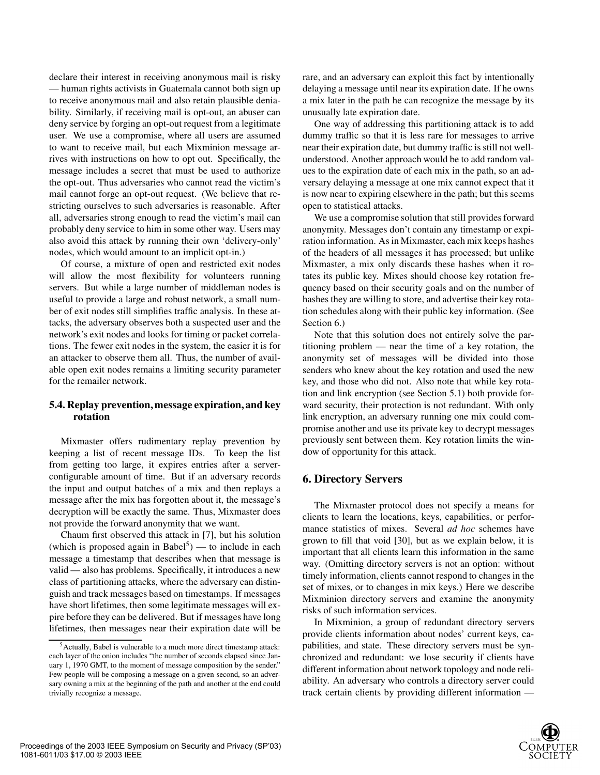declare their interest in receiving anonymous mail is risky — human rights activists in Guatemala cannot both sign up to receive anonymous mail and also retain plausible deniability. Similarly, if receiving mail is opt-out, an abuser can deny service by forging an opt-out request from a legitimate user. We use a compromise, where all users are assumed to want to receive mail, but each Mixminion message arrives with instructions on how to opt out. Specifically, the message includes a secret that must be used to authorize the opt-out. Thus adversaries who cannot read the victim's mail cannot forge an opt-out request. (We believe that restricting ourselves to such adversaries is reasonable. After all, adversaries strong enough to read the victim's mail can probably deny service to him in some other way. Users may also avoid this attack by running their own 'delivery-only' nodes, which would amount to an implicit opt-in.)

Of course, a mixture of open and restricted exit nodes will allow the most flexibility for volunteers running servers. But while a large number of middleman nodes is useful to provide a large and robust network, a small number of exit nodes still simplifies traffic analysis. In these attacks, the adversary observes both a suspected user and the network's exit nodes and looks for timing or packet correlations. The fewer exit nodes in the system, the easier it is for an attacker to observe them all. Thus, the number of available open exit nodes remains a limiting security parameter for the remailer network.

#### **5.4. Replay prevention,message expiration, and key rotation**

Mixmaster offers rudimentary replay prevention by keeping a list of recent message IDs. To keep the list from getting too large, it expires entries after a serverconfigurable amount of time. But if an adversary records the input and output batches of a mix and then replays a message after the mix has forgotten about it, the message's decryption will be exactly the same. Thus, Mixmaster does not provide the forward anonymity that we want.

Chaum first observed this attack in [7], but his solution (which is proposed again in Babel<sup>5</sup>) — to include in each message a timestamp that describes when that message is valid — also has problems. Specifically, it introduces a new class of partitioning attacks, where the adversary can distinguish and track messages based on timestamps. If messages have short lifetimes, then some legitimate messages will expire before they can be delivered. But if messages have long lifetimes, then messages near their expiration date will be rare, and an adversary can exploit this fact by intentionally delaying a message until near its expiration date. If he owns a mix later in the path he can recognize the message by its unusually late expiration date.

One way of addressing this partitioning attack is to add dummy traffic so that it is less rare for messages to arrive near their expiration date, but dummy traffic is still not wellunderstood. Another approach would be to add random values to the expiration date of each mix in the path, so an adversary delaying a message at one mix cannot expect that it is now near to expiring elsewhere in the path; but this seems open to statistical attacks.

We use a compromise solution that still provides forward anonymity. Messages don't contain any timestamp or expiration information. As in Mixmaster, each mix keeps hashes of the headers of all messages it has processed; but unlike Mixmaster, a mix only discards these hashes when it rotates its public key. Mixes should choose key rotation frequency based on their security goals and on the number of hashes they are willing to store, and advertise their key rotation schedules along with their public key information. (See Section 6.)

Note that this solution does not entirely solve the partitioning problem — near the time of a key rotation, the anonymity set of messages will be divided into those senders who knew about the key rotation and used the new key, and those who did not. Also note that while key rotation and link encryption (see Section 5.1) both provide forward security, their protection is not redundant. With only link encryption, an adversary running one mix could compromise another and use its private key to decrypt messages previously sent between them. Key rotation limits the window of opportunity for this attack.

#### **6. Directory Servers**

The Mixmaster protocol does not specify a means for clients to learn the locations, keys, capabilities, or performance statistics of mixes. Several *ad hoc* schemes have grown to fill that void [30], but as we explain below, it is important that all clients learn this information in the same way. (Omitting directory servers is not an option: without timely information, clients cannot respond to changes in the set of mixes, or to changes in mix keys.) Here we describe Mixminion directory servers and examine the anonymity risks of such information services.

In Mixminion, a group of redundant directory servers provide clients information about nodes' current keys, capabilities, and state. These directory servers must be synchronized and redundant: we lose security if clients have different information about network topology and node reliability. An adversary who controls a directory server could track certain clients by providing different information —



 $5$ Actually, Babel is vulnerable to a much more direct timestamp attack: each layer of the onion includes "the number of seconds elapsed since January 1, 1970 GMT, to the moment of message composition by the sender." Few people will be composing a message on a given second, so an adversary owning a mix at the beginning of the path and another at the end could trivially recognize a message.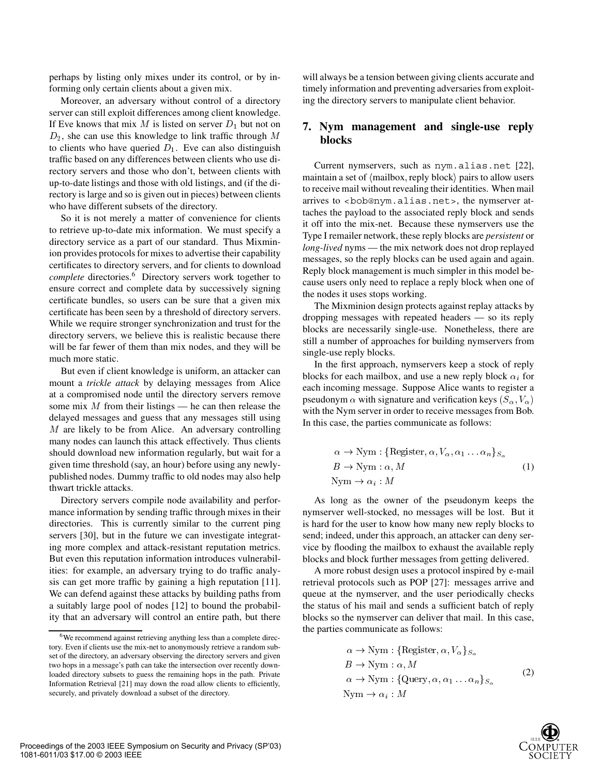perhaps by listing only mixes under its control, or by informing only certain clients about a given mix.

Moreover, an adversary without control of a directory server can still exploit differences among client knowledge. If Eve knows that mix  $M$  is listed on server  $D_1$  but not on  $D_2$ , she can use this knowledge to link traffic through M to clients who have queried  $D_1$ . Eve can also distinguish traffic based on any differences between clients who use directory servers and those who don't, between clients with up-to-date listings and those with old listings, and (if the directory is large and so is given out in pieces) between clients who have different subsets of the directory.

So it is not merely a matter of convenience for clients to retrieve up-to-date mix information. We must specify a directory service as a part of our standard. Thus Mixminion provides protocols for mixes to advertise their capability certificates to directory servers, and for clients to download *complete* directories.<sup>6</sup> Directory servers work together to ensure correct and complete data by successively signing certificate bundles, so users can be sure that a given mix certificate has been seen by a threshold of directory servers. While we require stronger synchronization and trust for the directory servers, we believe this is realistic because there will be far fewer of them than mix nodes, and they will be much more static.

But even if client knowledge is uniform, an attacker can mount a *trickle attack* by delaying messages from Alice at a compromised node until the directory servers remove some mix  $M$  from their listings — he can then release the delayed messages and guess that any messages still using <sup>M</sup> are likely to be from Alice. An adversary controlling many nodes can launch this attack effectively. Thus clients should download new information regularly, but wait for a given time threshold (say, an hour) before using any newlypublished nodes. Dummy traffic to old nodes may also help thwart trickle attacks.

Directory servers compile node availability and performance information by sending traffic through mixes in their directories. This is currently similar to the current ping servers [30], but in the future we can investigate integrating more complex and attack-resistant reputation metrics. But even this reputation information introduces vulnerabilities: for example, an adversary trying to do traffic analysis can get more traffic by gaining a high reputation [11]. We can defend against these attacks by building paths from a suitably large pool of nodes [12] to bound the probability that an adversary will control an entire path, but there

will always be a tension between giving clients accurate and timely information and preventing adversaries from exploiting the directory servers to manipulate client behavior.

# **7. Nym management and single-use reply blocks**

Current nymservers, such as nym.alias.net [22], maintain a set of  $\langle$ mailbox, reply block $\rangle$  pairs to allow users to receive mail without revealing their identities. When mail arrives to <bob@nym.alias.net>, the nymserver attaches the payload to the associated reply block and sends it off into the mix-net. Because these nymservers use the Type I remailer network, these reply blocks are *persistent* or *long-lived* nyms — the mix network does not drop replayed messages, so the reply blocks can be used again and again. Reply block management is much simpler in this model because users only need to replace a reply block when one of the nodes it uses stops working.

The Mixminion design protects against replay attacks by dropping messages with repeated headers — so its reply blocks are necessarily single-use. Nonetheless, there are still a number of approaches for building nymservers from single-use reply blocks.

In the first approach, nymservers keep a stock of reply blocks for each mailbox, and use a new reply block  $\alpha_i$  for each incoming message. Suppose Alice wants to register a pseudonym  $\alpha$  with signature and verification keys  $(S_{\alpha}, V_{\alpha})$ with the Nym server in order to receive messages from Bob. In this case, the parties communicate as follows:

$$
\alpha \to \text{Nym}: \{\text{Register}, \alpha, V_{\alpha}, \alpha_1 \dots \alpha_n\}_{S_{\alpha}}
$$
  
\n
$$
B \to \text{Nym}: \alpha, M
$$
  
\n
$$
\text{Nym} \to \alpha_i : M
$$
 (1)

As long as the owner of the pseudonym keeps the nymserver well-stocked, no messages will be lost. But it is hard for the user to know how many new reply blocks to send; indeed, under this approach, an attacker can deny service by flooding the mailbox to exhaust the available reply blocks and block further messages from getting delivered.

A more robust design uses a protocol inspired by e-mail retrieval protocols such as POP [27]: messages arrive and queue at the nymserver, and the user periodically checks the status of his mail and sends a sufficient batch of reply blocks so the nymserver can deliver that mail. In this case, the parties communicate as follows:

$$
\alpha \to \text{Nym} : \{\text{Register}, \alpha, V_{\alpha}\}_{S_{\alpha}}
$$
  
\n
$$
B \to \text{Nym} : \alpha, M
$$
  
\n
$$
\alpha \to \text{Nym} : \{\text{Query}, \alpha, \alpha_1 \dots \alpha_n\}_{S_{\alpha}}
$$
  
\n
$$
\text{Nym} \to \alpha_i : M
$$
 (2)



<sup>&</sup>lt;sup>6</sup>We recommend against retrieving anything less than a complete directory. Even if clients use the mix-net to anonymously retrieve a random subset of the directory, an adversary observing the directory servers and given two hops in a message's path can take the intersection over recently downloaded directory subsets to guess the remaining hops in the path. Private Information Retrieval [21] may down the road allow clients to efficiently, securely, and privately download a subset of the directory.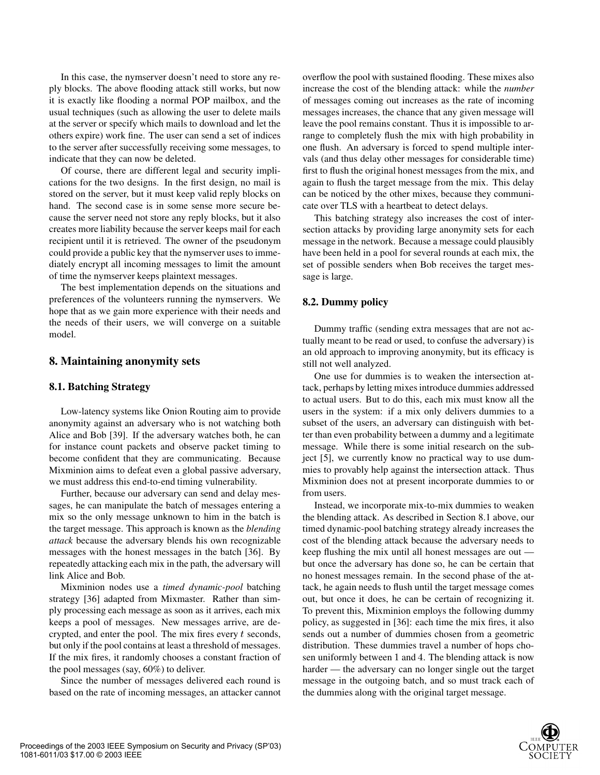In this case, the nymserver doesn't need to store any reply blocks. The above flooding attack still works, but now it is exactly like flooding a normal POP mailbox, and the usual techniques (such as allowing the user to delete mails at the server or specify which mails to download and let the others expire) work fine. The user can send a set of indices to the server after successfully receiving some messages, to indicate that they can now be deleted.

Of course, there are different legal and security implications for the two designs. In the first design, no mail is stored on the server, but it must keep valid reply blocks on hand. The second case is in some sense more secure because the server need not store any reply blocks, but it also creates more liability because the server keeps mail for each recipient until it is retrieved. The owner of the pseudonym could provide a public key that the nymserver uses to immediately encrypt all incoming messages to limit the amount of time the nymserver keeps plaintext messages.

The best implementation depends on the situations and preferences of the volunteers running the nymservers. We hope that as we gain more experience with their needs and the needs of their users, we will converge on a suitable model.

#### **8. Maintaining anonymity sets**

#### **8.1. Batching Strategy**

Low-latency systems like Onion Routing aim to provide anonymity against an adversary who is not watching both Alice and Bob [39]. If the adversary watches both, he can for instance count packets and observe packet timing to become confident that they are communicating. Because Mixminion aims to defeat even a global passive adversary, we must address this end-to-end timing vulnerability.

Further, because our adversary can send and delay messages, he can manipulate the batch of messages entering a mix so the only message unknown to him in the batch is the target message. This approach is known as the *blending attack* because the adversary blends his own recognizable messages with the honest messages in the batch [36]. By repeatedly attacking each mix in the path, the adversary will link Alice and Bob.

Mixminion nodes use a *timed dynamic-pool* batching strategy [36] adapted from Mixmaster. Rather than simply processing each message as soon as it arrives, each mix keeps a pool of messages. New messages arrive, are decrypted, and enter the pool. The mix fires every  $t$  seconds, but only if the pool contains at least a threshold of messages. If the mix fires, it randomly chooses a constant fraction of the pool messages (say, 60%) to deliver.

Since the number of messages delivered each round is based on the rate of incoming messages, an attacker cannot overflow the pool with sustained flooding. These mixes also increase the cost of the blending attack: while the *number* of messages coming out increases as the rate of incoming messages increases, the chance that any given message will leave the pool remains constant. Thus it is impossible to arrange to completely flush the mix with high probability in one flush. An adversary is forced to spend multiple intervals (and thus delay other messages for considerable time) first to flush the original honest messages from the mix, and again to flush the target message from the mix. This delay can be noticed by the other mixes, because they communicate over TLS with a heartbeat to detect delays.

This batching strategy also increases the cost of intersection attacks by providing large anonymity sets for each message in the network. Because a message could plausibly have been held in a pool for several rounds at each mix, the set of possible senders when Bob receives the target message is large.

#### **8.2. Dummy policy**

Dummy traffic (sending extra messages that are not actually meant to be read or used, to confuse the adversary) is an old approach to improving anonymity, but its efficacy is still not well analyzed.

One use for dummies is to weaken the intersection attack, perhaps by letting mixes introduce dummies addressed to actual users. But to do this, each mix must know all the users in the system: if a mix only delivers dummies to a subset of the users, an adversary can distinguish with better than even probability between a dummy and a legitimate message. While there is some initial research on the subject [5], we currently know no practical way to use dummies to provably help against the intersection attack. Thus Mixminion does not at present incorporate dummies to or from users.

Instead, we incorporate mix-to-mix dummies to weaken the blending attack. As described in Section 8.1 above, our timed dynamic-pool batching strategy already increases the cost of the blending attack because the adversary needs to keep flushing the mix until all honest messages are out but once the adversary has done so, he can be certain that no honest messages remain. In the second phase of the attack, he again needs to flush until the target message comes out, but once it does, he can be certain of recognizing it. To prevent this, Mixminion employs the following dummy policy, as suggested in [36]: each time the mix fires, it also sends out a number of dummies chosen from a geometric distribution. These dummies travel a number of hops chosen uniformly between <sup>1</sup> and <sup>4</sup>. The blending attack is now harder — the adversary can no longer single out the target message in the outgoing batch, and so must track each of the dummies along with the original target message.

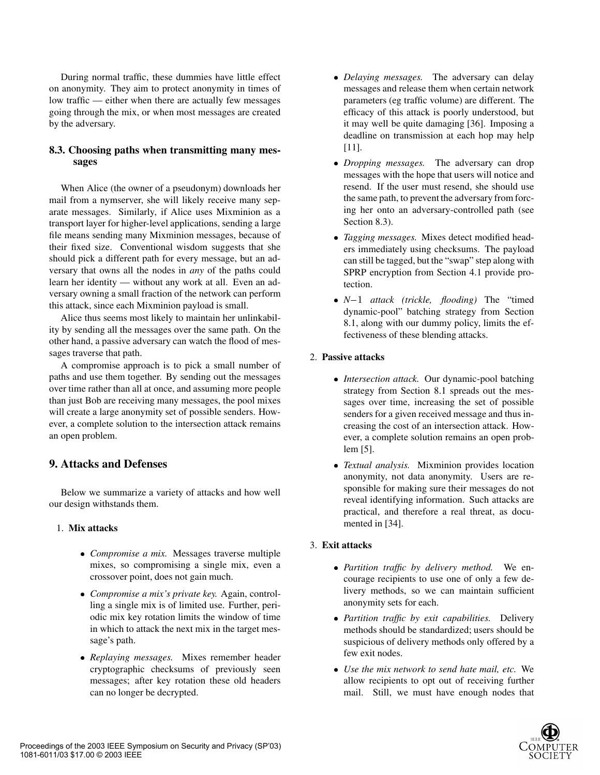During normal traffic, these dummies have little effect on anonymity. They aim to protect anonymity in times of low traffic — either when there are actually few messages going through the mix, or when most messages are created by the adversary.

## **8.3. Choosing paths when transmitting many messages**

When Alice (the owner of a pseudonym) downloads her mail from a nymserver, she will likely receive many separate messages. Similarly, if Alice uses Mixminion as a transport layer for higher-level applications, sending a large file means sending many Mixminion messages, because of their fixed size. Conventional wisdom suggests that she should pick a different path for every message, but an adversary that owns all the nodes in *any* of the paths could learn her identity — without any work at all. Even an adversary owning a small fraction of the network can perform this attack, since each Mixminion payload is small.

Alice thus seems most likely to maintain her unlinkability by sending all the messages over the same path. On the other hand, a passive adversary can watch the flood of messages traverse that path.

A compromise approach is to pick a small number of paths and use them together. By sending out the messages over time rather than all at once, and assuming more people than just Bob are receiving many messages, the pool mixes will create a large anonymity set of possible senders. However, a complete solution to the intersection attack remains an open problem.

# **9. Attacks and Defenses**

Below we summarize a variety of attacks and how well our design withstands them.

#### 1. **Mix attacks**

- *Compromise a mix.* Messages traverse multiple mixes, so compromising a single mix, even a crossover point, does not gain much.
- *Compromise a mix's private key.* Again, controlling a single mix is of limited use. Further, periodic mix key rotation limits the window of time in which to attack the next mix in the target message's path.
- *Replaying messages.* Mixes remember header cryptographic checksums of previously seen messages; after key rotation these old headers can no longer be decrypted.
- *Delaying messages.* The adversary can delay messages and release them when certain network parameters (eg traffic volume) are different. The efficacy of this attack is poorly understood, but it may well be quite damaging [36]. Imposing a deadline on transmission at each hop may help [11].
- *Dropping messages.* The adversary can drop messages with the hope that users will notice and resend. If the user must resend, she should use the same path, to prevent the adversary from forcing her onto an adversary-controlled path (see Section 8.3).
- *Tagging messages.* Mixes detect modified headers immediately using checksums. The payload can still be tagged, but the "swap" step along with SPRP encryption from Section 4.1 provide protection.
- *N*1 *attack (trickle, flooding)* The "timed dynamic-pool" batching strategy from Section 8.1, along with our dummy policy, limits the effectiveness of these blending attacks.

### 2. **Passive attacks**

- *Intersection attack.* Our dynamic-pool batching strategy from Section 8.1 spreads out the messages over time, increasing the set of possible senders for a given received message and thus increasing the cost of an intersection attack. However, a complete solution remains an open problem [5].
- *Textual analysis.* Mixminion provides location anonymity, not data anonymity. Users are responsible for making sure their messages do not reveal identifying information. Such attacks are practical, and therefore a real threat, as documented in [34].

#### 3. **Exit attacks**

- *Partition traffic by delivery method.* We encourage recipients to use one of only a few delivery methods, so we can maintain sufficient anonymity sets for each.
- *Partition traffic by exit capabilities.* Delivery methods should be standardized; users should be suspicious of delivery methods only offered by a few exit nodes.
- *Use the mix network to send hate mail, etc.* We allow recipients to opt out of receiving further mail. Still, we must have enough nodes that

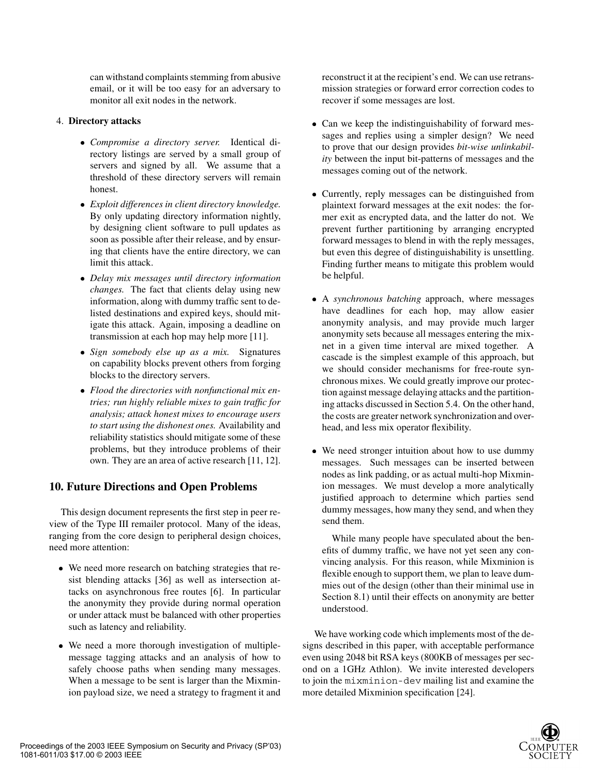can withstand complaints stemming from abusive email, or it will be too easy for an adversary to monitor all exit nodes in the network.

### 4. **Directory attacks**

- *Compromise a directory server.* Identical directory listings are served by a small group of servers and signed by all. We assume that a threshold of these directory servers will remain honest.
- *Exploit differences in client directory knowledge.* By only updating directory information nightly, by designing client software to pull updates as soon as possible after their release, and by ensuring that clients have the entire directory, we can limit this attack.
- *Delay mix messages until directory information changes.* The fact that clients delay using new information, along with dummy traffic sent to delisted destinations and expired keys, should mitigate this attack. Again, imposing a deadline on transmission at each hop may help more [11].
- *Sign somebody else up as a mix.* Signatures on capability blocks prevent others from forging blocks to the directory servers.
- *Flood the directories with nonfunctional mix entries; run highly reliable mixes to gain traffic for analysis; attack honest mixes to encourage users to start using the dishonest ones.* Availability and reliability statistics should mitigate some of these problems, but they introduce problems of their own. They are an area of active research [11, 12].

# **10. Future Directions and Open Problems**

This design document represents the first step in peer review of the Type III remailer protocol. Many of the ideas, ranging from the core design to peripheral design choices, need more attention:

- We need more research on batching strategies that resist blending attacks [36] as well as intersection attacks on asynchronous free routes [6]. In particular the anonymity they provide during normal operation or under attack must be balanced with other properties such as latency and reliability.
- We need a more thorough investigation of multiplemessage tagging attacks and an analysis of how to safely choose paths when sending many messages. When a message to be sent is larger than the Mixminion payload size, we need a strategy to fragment it and

reconstruct it at the recipient's end. We can use retransmission strategies or forward error correction codes to recover if some messages are lost.

- Can we keep the indistinguishability of forward messages and replies using a simpler design? We need to prove that our design provides *bit-wise unlinkability* between the input bit-patterns of messages and the messages coming out of the network.
- Currently, reply messages can be distinguished from plaintext forward messages at the exit nodes: the former exit as encrypted data, and the latter do not. We prevent further partitioning by arranging encrypted forward messages to blend in with the reply messages, but even this degree of distinguishability is unsettling. Finding further means to mitigate this problem would be helpful.
- A *synchronous batching* approach, where messages have deadlines for each hop, may allow easier anonymity analysis, and may provide much larger anonymity sets because all messages entering the mixnet in a given time interval are mixed together. A cascade is the simplest example of this approach, but we should consider mechanisms for free-route synchronous mixes. We could greatly improve our protection against message delaying attacks and the partitioning attacks discussed in Section 5.4. On the other hand, the costs are greater network synchronization and overhead, and less mix operator flexibility.
- We need stronger intuition about how to use dummy messages. Such messages can be inserted between nodes as link padding, or as actual multi-hop Mixminion messages. We must develop a more analytically justified approach to determine which parties send dummy messages, how many they send, and when they send them.

While many people have speculated about the benefits of dummy traffic, we have not yet seen any convincing analysis. For this reason, while Mixminion is flexible enough to support them, we plan to leave dummies out of the design (other than their minimal use in Section 8.1) until their effects on anonymity are better understood.

We have working code which implements most of the designs described in this paper, with acceptable performance even using 2048 bit RSA keys (800KB of messages per second on a 1GHz Athlon). We invite interested developers to join the mixminion-dev mailing list and examine the more detailed Mixminion specification [24].

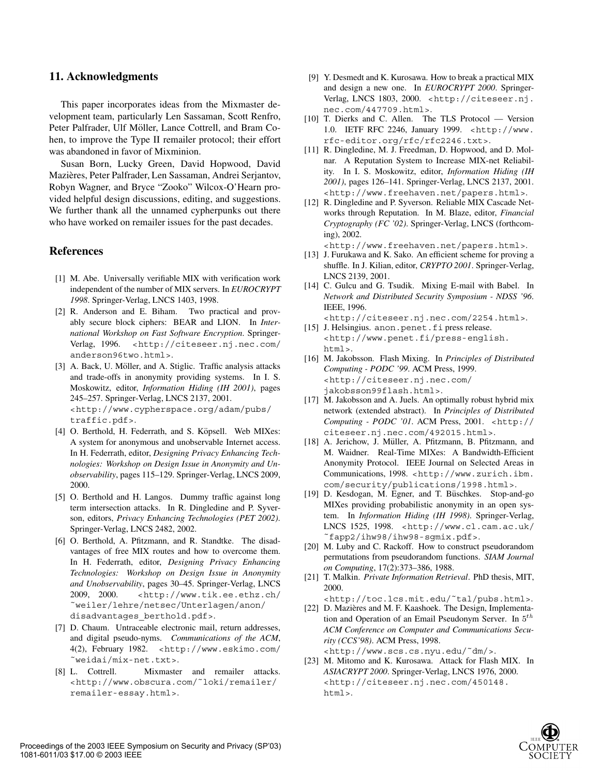### **11. Acknowledgments**

This paper incorporates ideas from the Mixmaster development team, particularly Len Sassaman, Scott Renfro, Peter Palfrader, Ulf Möller, Lance Cottrell, and Bram Cohen, to improve the Type II remailer protocol; their effort was abandoned in favor of Mixminion.

Susan Born, Lucky Green, David Hopwood, David Mazières, Peter Palfrader, Len Sassaman, Andrei Serjantov, Robyn Wagner, and Bryce "Zooko" Wilcox-O'Hearn provided helpful design discussions, editing, and suggestions. We further thank all the unnamed cypherpunks out there who have worked on remailer issues for the past decades.

## **References**

- [1] M. Abe. Universally verifiable MIX with verification work independent of the number of MIX servers. In *EUROCRYPT 1998*. Springer-Verlag, LNCS 1403, 1998.
- [2] R. Anderson and E. Biham. Two practical and provably secure block ciphers: BEAR and LION. In *International Workshop on Fast Software Encryption*. Springer-Verlag, 1996. <http://citeseer.nj.nec.com/ anderson96two.html>.
- [3] A. Back, U. Möller, and A. Stiglic. Traffic analysis attacks and trade-offs in anonymity providing systems. In I. S. Moskowitz, editor, *Information Hiding (IH 2001)*, pages 245–257. Springer-Verlag, LNCS 2137, 2001. <http://www.cypherspace.org/adam/pubs/ traffic.pdf>.
- [4] O. Berthold, H. Federrath, and S. Köpsell. Web MIXes: A system for anonymous and unobservable Internet access. In H. Federrath, editor, *Designing Privacy Enhancing Technologies: Workshop on Design Issue in Anonymity and Unobservability*, pages 115–129. Springer-Verlag, LNCS 2009, 2000.
- [5] O. Berthold and H. Langos. Dummy traffic against long term intersection attacks. In R. Dingledine and P. Syverson, editors, *Privacy Enhancing Technologies (PET 2002)*. Springer-Verlag, LNCS 2482, 2002.
- [6] O. Berthold, A. Pfitzmann, and R. Standtke. The disadvantages of free MIX routes and how to overcome them. In H. Federrath, editor, *Designing Privacy Enhancing Technologies: Workshop on Design Issue in Anonymity and Unobservability*, pages 30–45. Springer-Verlag, LNCS 2009, 2000. <http://www.tik.ee.ethz.ch/ ˜weiler/lehre/netsec/Unterlagen/anon/ disadvantages berthold.pdf>.
- [7] D. Chaum. Untraceable electronic mail, return addresses, and digital pseudo-nyms. *Communications of the ACM*, 4(2), February 1982. <http://www.eskimo.com/ ˜weidai/mix-net.txt>.
- [8] L. Cottrell. Mixmaster and remailer attacks. <http://www.obscura.com/˜loki/remailer/ remailer-essay.html>.
- [9] Y. Desmedt and K. Kurosawa. How to break a practical MIX and design a new one. In *EUROCRYPT 2000*. Springer-Verlag, LNCS 1803, 2000. <http://citeseer.nj. nec.com/447709.html>.
- [10] T. Dierks and C. Allen. The TLS Protocol Version 1.0. IETF RFC 2246, January 1999. <http://www. rfc-editor.org/rfc/rfc2246.txt>.
- [11] R. Dingledine, M. J. Freedman, D. Hopwood, and D. Molnar. A Reputation System to Increase MIX-net Reliability. In I. S. Moskowitz, editor, *Information Hiding (IH 2001)*, pages 126–141. Springer-Verlag, LNCS 2137, 2001. <http://www.freehaven.net/papers.html>.
- [12] R. Dingledine and P. Syverson. Reliable MIX Cascade Networks through Reputation. In M. Blaze, editor, *Financial Cryptography (FC '02)*. Springer-Verlag, LNCS (forthcoming), 2002.

<http://www.freehaven.net/papers.html>.

- [13] J. Furukawa and K. Sako. An efficient scheme for proving a shuffle. In J. Kilian, editor, *CRYPTO 2001*. Springer-Verlag, LNCS 2139, 2001.
- [14] C. Gulcu and G. Tsudik. Mixing E-mail with Babel. In *Network and Distributed Security Symposium - NDSS '96*. IEEE, 1996.
	- <http://citeseer.nj.nec.com/2254.html>.
- [15] J. Helsingius. anon.penet.fi press release. <http://www.penet.fi/press-english. html>.
- [16] M. Jakobsson. Flash Mixing. In *Principles of Distributed Computing - PODC '99*. ACM Press, 1999. <http://citeseer.nj.nec.com/ jakobsson99flash.html>.
- [17] M. Jakobsson and A. Juels. An optimally robust hybrid mix network (extended abstract). In *Principles of Distributed Computing - PODC '01*. ACM Press, 2001. <http:// citeseer.nj.nec.com/492015.html>.
- [18] A. Jerichow, J. Müller, A. Pfitzmann, B. Pfitzmann, and M. Waidner. Real-Time MIXes: A Bandwidth-Efficient Anonymity Protocol. IEEE Journal on Selected Areas in Communications, 1998. <http://www.zurich.ibm. com/security/publications/1998.html>.
- [19] D. Kesdogan, M. Egner, and T. Büschkes. Stop-and-go MIXes providing probabilistic anonymity in an open system. In *Information Hiding (IH 1998)*. Springer-Verlag, LNCS 1525, 1998. <http://www.cl.cam.ac.uk/ ˜fapp2/ihw98/ihw98-sgmix.pdf>.
- [20] M. Luby and C. Rackoff. How to construct pseudorandom permutations from pseudorandom functions. *SIAM Journal on Computing*, 17(2):373–386, 1988.
- [21] T. Malkin. *Private Information Retrieval*. PhD thesis, MIT, 2000.

<http://toc.lcs.mit.edu/˜tal/pubs.html>. [22] D. Mazières and M. F. Kaashoek. The Design, Implementa-

- tion and Operation of an Email Pseudonym Server. In  $5<sup>th</sup>$ *ACM Conference on Computer and Communications Security (CCS'98)*. ACM Press, 1998. <http://www.scs.cs.nyu.edu/˜dm/>.
- [23] M. Mitomo and K. Kurosawa. Attack for Flash MIX. In *ASIACRYPT 2000*. Springer-Verlag, LNCS 1976, 2000. <http://citeseer.nj.nec.com/450148. html>.